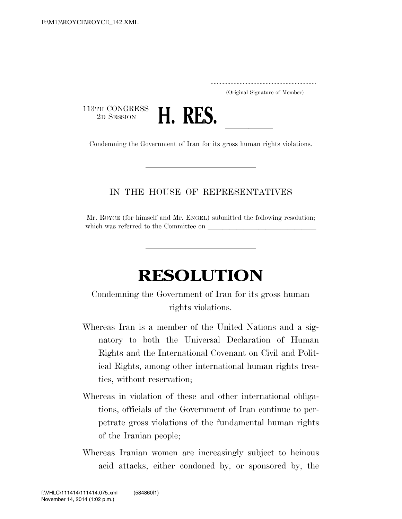.....................................................................

(Original Signature of Member)

113TH CONGRESS<br>2D SESSION



2D SESSION **H. RES.** Condemning the Government of Iran for its gross human rights violations.

## IN THE HOUSE OF REPRESENTATIVES

Mr. ROYCE (for himself and Mr. ENGEL) submitted the following resolution; which was referred to the Committee on

## **RESOLUTION**

Condemning the Government of Iran for its gross human rights violations.

- Whereas Iran is a member of the United Nations and a signatory to both the Universal Declaration of Human Rights and the International Covenant on Civil and Political Rights, among other international human rights treaties, without reservation;
- Whereas in violation of these and other international obligations, officials of the Government of Iran continue to perpetrate gross violations of the fundamental human rights of the Iranian people;
- Whereas Iranian women are increasingly subject to heinous acid attacks, either condoned by, or sponsored by, the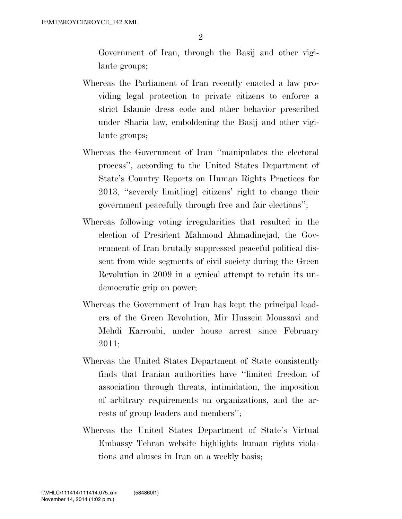Government of Iran, through the Basij and other vigilante groups;

- Whereas the Parliament of Iran recently enacted a law providing legal protection to private citizens to enforce a strict Islamic dress code and other behavior prescribed under Sharia law, emboldening the Basij and other vigilante groups;
- Whereas the Government of Iran ''manipulates the electoral process'', according to the United States Department of State's Country Reports on Human Rights Practices for 2013, ''severely limit[ing] citizens' right to change their government peacefully through free and fair elections'';
- Whereas following voting irregularities that resulted in the election of President Mahmoud Ahmadinejad, the Government of Iran brutally suppressed peaceful political dissent from wide segments of civil society during the Green Revolution in 2009 in a cynical attempt to retain its undemocratic grip on power;
- Whereas the Government of Iran has kept the principal leaders of the Green Revolution, Mir Hussein Moussavi and Mehdi Karroubi, under house arrest since February 2011;
- Whereas the United States Department of State consistently finds that Iranian authorities have ''limited freedom of association through threats, intimidation, the imposition of arbitrary requirements on organizations, and the arrests of group leaders and members'';
- Whereas the United States Department of State's Virtual Embassy Tehran website highlights human rights violations and abuses in Iran on a weekly basis;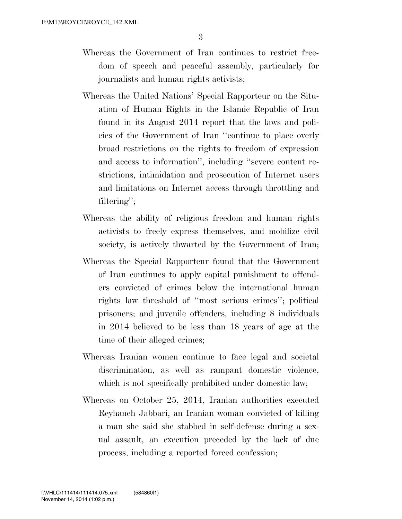- Whereas the Government of Iran continues to restrict freedom of speech and peaceful assembly, particularly for journalists and human rights activists;
- Whereas the United Nations' Special Rapporteur on the Situation of Human Rights in the Islamic Republic of Iran found in its August 2014 report that the laws and policies of the Government of Iran ''continue to place overly broad restrictions on the rights to freedom of expression and access to information'', including ''severe content restrictions, intimidation and prosecution of Internet users and limitations on Internet access through throttling and filtering'';
- Whereas the ability of religious freedom and human rights activists to freely express themselves, and mobilize civil society, is actively thwarted by the Government of Iran;
- Whereas the Special Rapporteur found that the Government of Iran continues to apply capital punishment to offenders convicted of crimes below the international human rights law threshold of ''most serious crimes''; political prisoners; and juvenile offenders, including 8 individuals in 2014 believed to be less than 18 years of age at the time of their alleged crimes;
- Whereas Iranian women continue to face legal and societal discrimination, as well as rampant domestic violence, which is not specifically prohibited under domestic law;
- Whereas on October 25, 2014, Iranian authorities executed Reyhaneh Jabbari, an Iranian woman convicted of killing a man she said she stabbed in self-defense during a sexual assault, an execution preceded by the lack of due process, including a reported forced confession;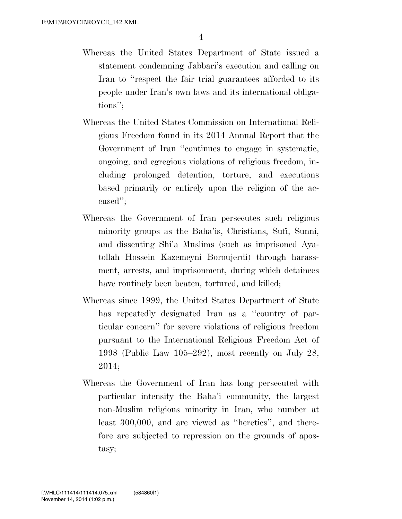- Whereas the United States Department of State issued a statement condemning Jabbari's execution and calling on Iran to ''respect the fair trial guarantees afforded to its people under Iran's own laws and its international obligations'';
- Whereas the United States Commission on International Religious Freedom found in its 2014 Annual Report that the Government of Iran ''continues to engage in systematic, ongoing, and egregious violations of religious freedom, including prolonged detention, torture, and executions based primarily or entirely upon the religion of the accused'';
- Whereas the Government of Iran persecutes such religious minority groups as the Baha'is, Christians, Sufi, Sunni, and dissenting Shi'a Muslims (such as imprisoned Ayatollah Hossein Kazemeyni Boroujerdi) through harassment, arrests, and imprisonment, during which detainees have routinely been beaten, tortured, and killed;
- Whereas since 1999, the United States Department of State has repeatedly designated Iran as a "country of particular concern'' for severe violations of religious freedom pursuant to the International Religious Freedom Act of 1998 (Public Law 105–292), most recently on July 28, 2014;
- Whereas the Government of Iran has long persecuted with particular intensity the Baha'i community, the largest non-Muslim religious minority in Iran, who number at least 300,000, and are viewed as ''heretics'', and therefore are subjected to repression on the grounds of apostasy;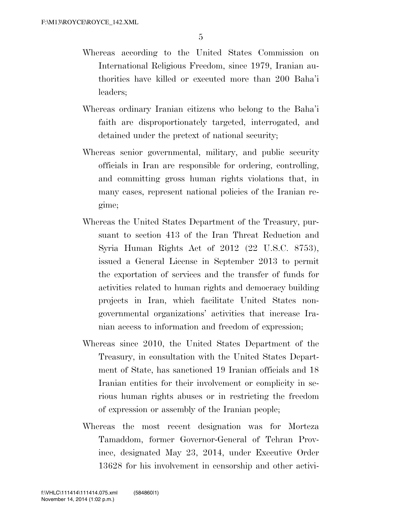- Whereas according to the United States Commission on International Religious Freedom, since 1979, Iranian authorities have killed or executed more than 200 Baha'i leaders;
- Whereas ordinary Iranian citizens who belong to the Baha'i faith are disproportionately targeted, interrogated, and detained under the pretext of national security;
- Whereas senior governmental, military, and public security officials in Iran are responsible for ordering, controlling, and committing gross human rights violations that, in many cases, represent national policies of the Iranian regime;
- Whereas the United States Department of the Treasury, pursuant to section 413 of the Iran Threat Reduction and Syria Human Rights Act of 2012 (22 U.S.C. 8753), issued a General License in September 2013 to permit the exportation of services and the transfer of funds for activities related to human rights and democracy building projects in Iran, which facilitate United States nongovernmental organizations' activities that increase Iranian access to information and freedom of expression;
- Whereas since 2010, the United States Department of the Treasury, in consultation with the United States Department of State, has sanctioned 19 Iranian officials and 18 Iranian entities for their involvement or complicity in serious human rights abuses or in restricting the freedom of expression or assembly of the Iranian people;
- Whereas the most recent designation was for Morteza Tamaddom, former Governor-General of Tehran Province, designated May 23, 2014, under Executive Order 13628 for his involvement in censorship and other activi-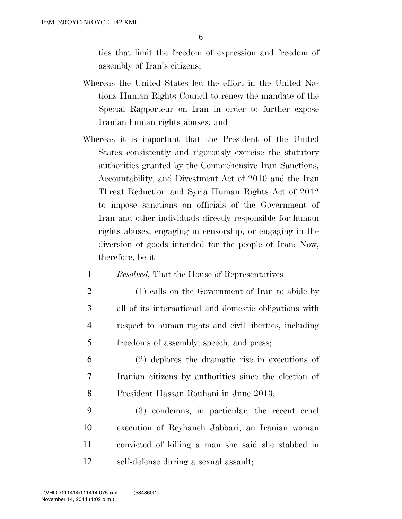ties that limit the freedom of expression and freedom of assembly of Iran's citizens;

- Whereas the United States led the effort in the United Nations Human Rights Council to renew the mandate of the Special Rapporteur on Iran in order to further expose Iranian human rights abuses; and
- Whereas it is important that the President of the United States consistently and rigorously exercise the statutory authorities granted by the Comprehensive Iran Sanctions, Accountability, and Divestment Act of 2010 and the Iran Threat Reduction and Syria Human Rights Act of 2012 to impose sanctions on officials of the Government of Iran and other individuals directly responsible for human rights abuses, engaging in censorship, or engaging in the diversion of goods intended for the people of Iran: Now, therefore, be it
	- 1 *Resolved,* That the House of Representatives—
	- 2 (1) calls on the Government of Iran to abide by 3 all of its international and domestic obligations with 4 respect to human rights and civil liberties, including 5 freedoms of assembly, speech, and press;
- 6 (2) deplores the dramatic rise in executions of 7 Iranian citizens by authorities since the election of 8 President Hassan Rouhani in June 2013;
- 9 (3) condemns, in particular, the recent cruel 10 execution of Reyhaneh Jabbari, an Iranian woman 11 convicted of killing a man she said she stabbed in 12 self-defense during a sexual assault;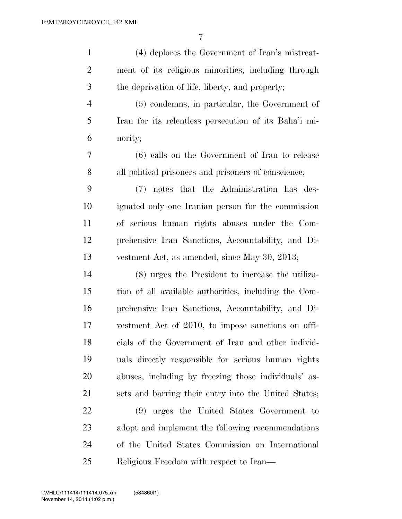| $\mathbf{1}$   | (4) deplores the Government of Iran's mistreat-       |
|----------------|-------------------------------------------------------|
| $\overline{2}$ | ment of its religious minorities, including through   |
| 3              | the deprivation of life, liberty, and property;       |
| $\overline{4}$ | (5) condemns, in particular, the Government of        |
| 5              | Iran for its relentless persecution of its Baha'i mi- |
| 6              | nority;                                               |
| 7              | (6) calls on the Government of Iran to release        |
| 8              | all political prisoners and prisoners of conscience;  |
| 9              | (7) notes that the Administration has des-            |
| 10             | ignated only one Iranian person for the commission    |
| 11             | of serious human rights abuses under the Com-         |
| 12             | prehensive Iran Sanctions, Accountability, and Di-    |
| 13             | vestment Act, as amended, since May 30, 2013;         |
| 14             | (8) urges the President to increase the utiliza-      |
| 15             | tion of all available authorities, including the Com- |
| 16             | prehensive Iran Sanctions, Accountability, and Di-    |
| 17             | vestment Act of 2010, to impose sanctions on offi-    |
| 18             | cials of the Government of Iran and other individ-    |
| 19             | uals directly responsible for serious human rights    |
| 20             | abuses, including by freezing those individuals' as-  |
| 21             | sets and barring their entry into the United States;  |
| 22             | (9) urges the United States Government to             |
| 23             | adopt and implement the following recommendations     |
| 24             | of the United States Commission on International      |
| 25             | Religious Freedom with respect to Iran—               |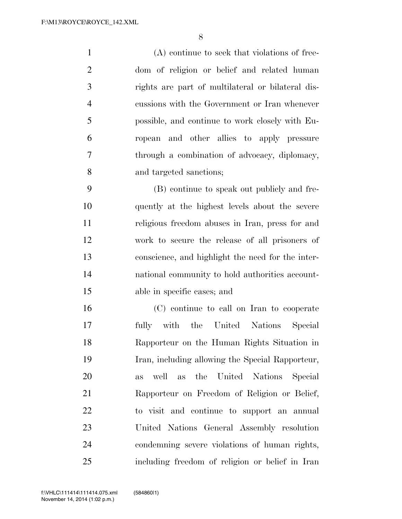(A) continue to seek that violations of free- dom of religion or belief and related human rights are part of multilateral or bilateral dis- cussions with the Government or Iran whenever possible, and continue to work closely with Eu- ropean and other allies to apply pressure through a combination of advocacy, diplomacy, and targeted sanctions;

 (B) continue to speak out publicly and fre- quently at the highest levels about the severe religious freedom abuses in Iran, press for and work to secure the release of all prisoners of conscience, and highlight the need for the inter- national community to hold authorities account-able in specific cases; and

 (C) continue to call on Iran to cooperate fully with the United Nations Special Rapporteur on the Human Rights Situation in Iran, including allowing the Special Rapporteur, as well as the United Nations Special Rapporteur on Freedom of Religion or Belief, to visit and continue to support an annual United Nations General Assembly resolution condemning severe violations of human rights, including freedom of religion or belief in Iran